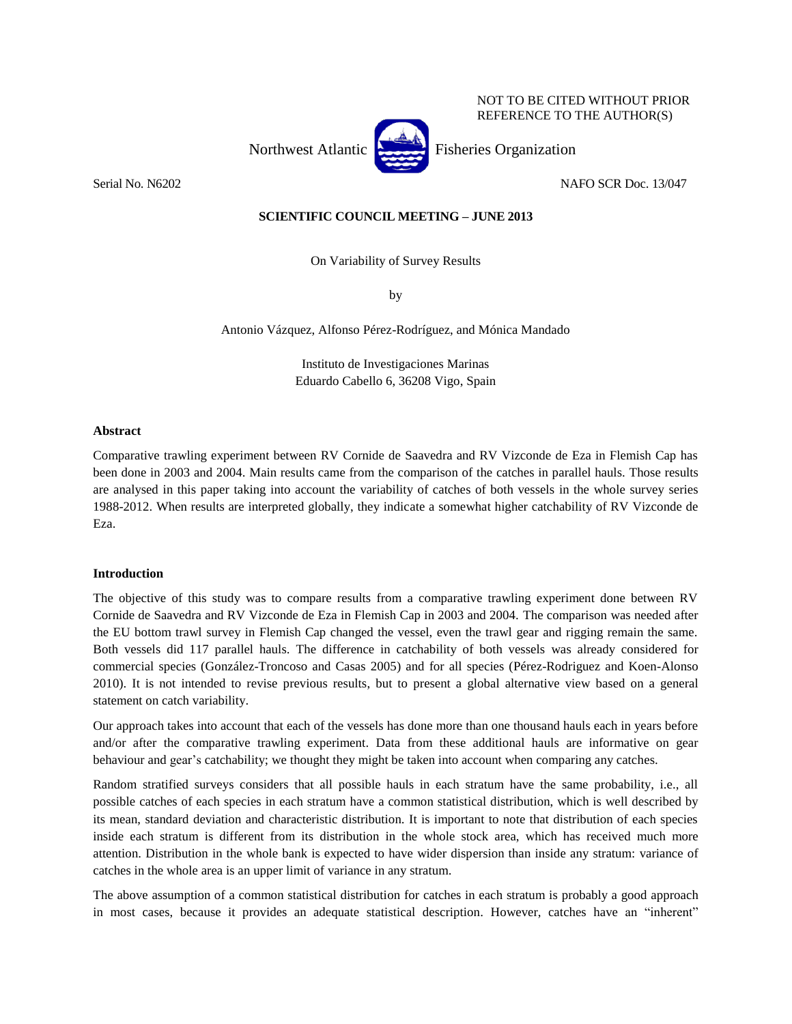NOT TO BE CITED WITHOUT PRIOR REFERENCE TO THE AUTHOR(S)

Northwest Atlantic Fisheries Organization

Serial No. N6202 NAFO SCR Doc. 13/047

# **SCIENTIFIC COUNCIL MEETING – JUNE 2013**

On Variability of Survey Results

by

Antonio Vázquez, Alfonso Pérez-Rodríguez, and Mónica Mandado

Instituto de Investigaciones Marinas Eduardo Cabello 6, 36208 Vigo, Spain

## **Abstract**

Comparative trawling experiment between RV Cornide de Saavedra and RV Vizconde de Eza in Flemish Cap has been done in 2003 and 2004. Main results came from the comparison of the catches in parallel hauls. Those results are analysed in this paper taking into account the variability of catches of both vessels in the whole survey series 1988-2012. When results are interpreted globally, they indicate a somewhat higher catchability of RV Vizconde de Eza.

## **Introduction**

The objective of this study was to compare results from a comparative trawling experiment done between RV Cornide de Saavedra and RV Vizconde de Eza in Flemish Cap in 2003 and 2004. The comparison was needed after the EU bottom trawl survey in Flemish Cap changed the vessel, even the trawl gear and rigging remain the same. Both vessels did 117 parallel hauls. The difference in catchability of both vessels was already considered for commercial species (González-Troncoso and Casas 2005) and for all species (Pérez-Rodriguez and Koen-Alonso 2010). It is not intended to revise previous results, but to present a global alternative view based on a general statement on catch variability.

Our approach takes into account that each of the vessels has done more than one thousand hauls each in years before and/or after the comparative trawling experiment. Data from these additional hauls are informative on gear behaviour and gear's catchability; we thought they might be taken into account when comparing any catches.

Random stratified surveys considers that all possible hauls in each stratum have the same probability, i.e., all possible catches of each species in each stratum have a common statistical distribution, which is well described by its mean, standard deviation and characteristic distribution. It is important to note that distribution of each species inside each stratum is different from its distribution in the whole stock area, which has received much more attention. Distribution in the whole bank is expected to have wider dispersion than inside any stratum: variance of catches in the whole area is an upper limit of variance in any stratum.

The above assumption of a common statistical distribution for catches in each stratum is probably a good approach in most cases, because it provides an adequate statistical description. However, catches have an "inherent"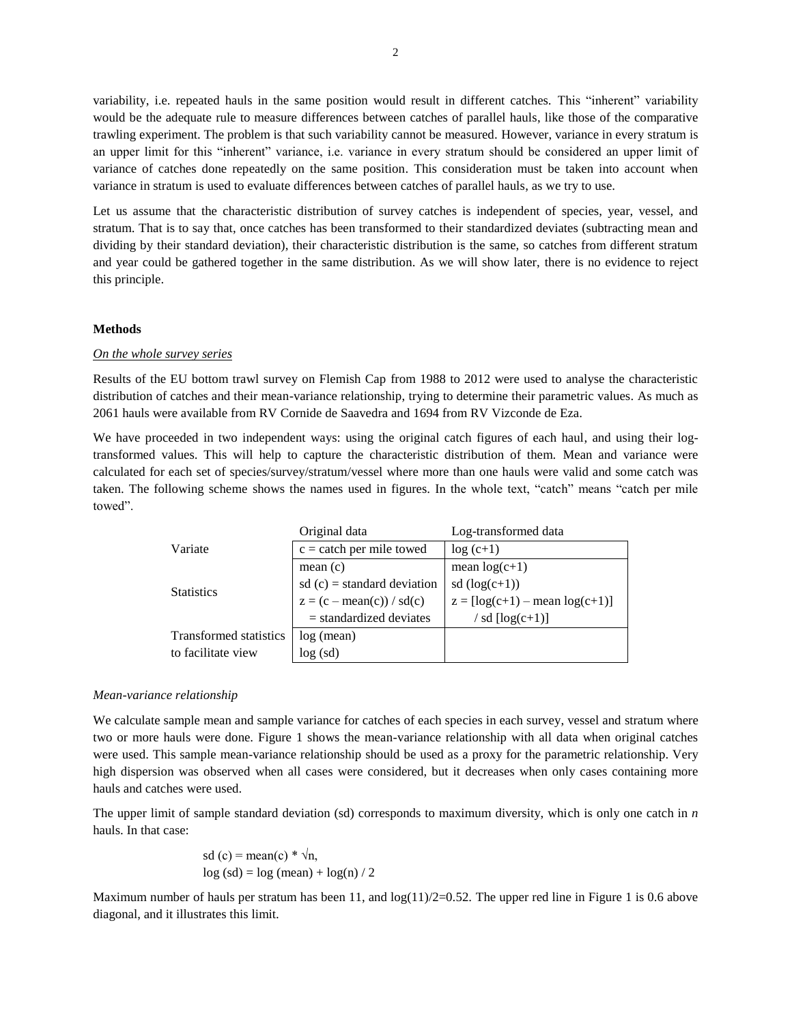variability, i.e. repeated hauls in the same position would result in different catches. This "inherent" variability would be the adequate rule to measure differences between catches of parallel hauls, like those of the comparative trawling experiment. The problem is that such variability cannot be measured. However, variance in every stratum is an upper limit for this "inherent" variance, i.e. variance in every stratum should be considered an upper limit of variance of catches done repeatedly on the same position. This consideration must be taken into account when variance in stratum is used to evaluate differences between catches of parallel hauls, as we try to use.

Let us assume that the characteristic distribution of survey catches is independent of species, year, vessel, and stratum. That is to say that, once catches has been transformed to their standardized deviates (subtracting mean and dividing by their standard deviation), their characteristic distribution is the same, so catches from different stratum and year could be gathered together in the same distribution. As we will show later, there is no evidence to reject this principle.

## **Methods**

#### *On the whole survey series*

Results of the EU bottom trawl survey on Flemish Cap from 1988 to 2012 were used to analyse the characteristic distribution of catches and their mean-variance relationship, trying to determine their parametric values. As much as 2061 hauls were available from RV Cornide de Saavedra and 1694 from RV Vizconde de Eza.

We have proceeded in two independent ways: using the original catch figures of each haul, and using their logtransformed values. This will help to capture the characteristic distribution of them. Mean and variance were calculated for each set of species/survey/stratum/vessel where more than one hauls were valid and some catch was taken. The following scheme shows the names used in figures. In the whole text, "catch" means "catch per mile towed".

|                        | Original data                 | Log-transformed data                     |  |  |  |
|------------------------|-------------------------------|------------------------------------------|--|--|--|
| Variate                | $c =$ catch per mile towed    | $log(c+1)$                               |  |  |  |
|                        | mean(c)                       | mean $log(c+1)$                          |  |  |  |
| <b>Statistics</b>      | $sd$ (c) = standard deviation | sd $(log(c+1))$                          |  |  |  |
|                        | $z = (c - mean(c)) / sd(c)$   | $z = [\log(c+1) - \text{mean log}(c+1)]$ |  |  |  |
|                        | $=$ standardized deviates     | / sd $\lfloor log(c+1) \rfloor$          |  |  |  |
| Transformed statistics | log (mean)                    |                                          |  |  |  |
| to facilitate view     | log (sd)                      |                                          |  |  |  |

#### *Mean-variance relationship*

We calculate sample mean and sample variance for catches of each species in each survey, vessel and stratum where two or more hauls were done. Figure 1 shows the mean-variance relationship with all data when original catches were used. This sample mean-variance relationship should be used as a proxy for the parametric relationship. Very high dispersion was observed when all cases were considered, but it decreases when only cases containing more hauls and catches were used.

The upper limit of sample standard deviation (sd) corresponds to maximum diversity, which is only one catch in *n* hauls. In that case:

sd (c) = mean(c) \* 
$$
\sqrt{n}
$$
,  
log (sd) = log (mean) + log(n) / 2

Maximum number of hauls per stratum has been 11, and  $log(11)/2=0.52$ . The upper red line in Figure 1 is 0.6 above diagonal, and it illustrates this limit.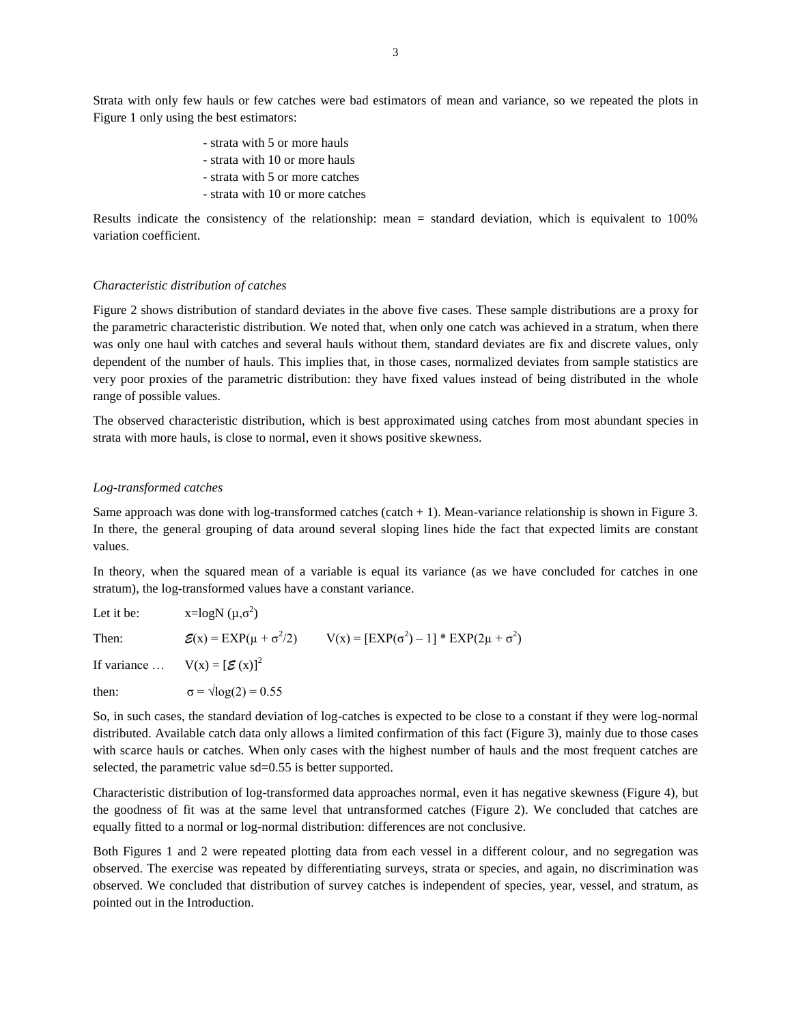Strata with only few hauls or few catches were bad estimators of mean and variance, so we repeated the plots in Figure 1 only using the best estimators:

- strata with 5 or more hauls
- strata with 10 or more hauls
- strata with 5 or more catches
- strata with 10 or more catches

Results indicate the consistency of the relationship: mean = standard deviation, which is equivalent to 100% variation coefficient.

#### *Characteristic distribution of catches*

Figure 2 shows distribution of standard deviates in the above five cases. These sample distributions are a proxy for the parametric characteristic distribution. We noted that, when only one catch was achieved in a stratum, when there was only one haul with catches and several hauls without them, standard deviates are fix and discrete values, only dependent of the number of hauls. This implies that, in those cases, normalized deviates from sample statistics are very poor proxies of the parametric distribution: they have fixed values instead of being distributed in the whole range of possible values.

The observed characteristic distribution, which is best approximated using catches from most abundant species in strata with more hauls, is close to normal, even it shows positive skewness.

## *Log-transformed catches*

Same approach was done with log-transformed catches (catch  $+ 1$ ). Mean-variance relationship is shown in Figure 3. In there, the general grouping of data around several sloping lines hide the fact that expected limits are constant values.

In theory, when the squared mean of a variable is equal its variance (as we have concluded for catches in one stratum), the log-transformed values have a constant variance.

| Let it be: | x=logN $(\mu, \sigma^2)$                 |                                                     |
|------------|------------------------------------------|-----------------------------------------------------|
| Then:      | $\mathcal{E}(x) = EXP(\mu + \sigma^2/2)$ | $V(x) = [EXP(\sigma^2) - 1] * EXP(2\mu + \sigma^2)$ |
|            | If variance $V(x) = [\mathcal{E}(x)]^2$  |                                                     |
| then:      | $\sigma = \sqrt{\log(2)} = 0.55$         |                                                     |

So, in such cases, the standard deviation of log-catches is expected to be close to a constant if they were log-normal distributed. Available catch data only allows a limited confirmation of this fact (Figure 3), mainly due to those cases with scarce hauls or catches. When only cases with the highest number of hauls and the most frequent catches are selected, the parametric value sd=0.55 is better supported.

Characteristic distribution of log-transformed data approaches normal, even it has negative skewness (Figure 4), but the goodness of fit was at the same level that untransformed catches (Figure 2). We concluded that catches are equally fitted to a normal or log-normal distribution: differences are not conclusive.

Both Figures 1 and 2 were repeated plotting data from each vessel in a different colour, and no segregation was observed. The exercise was repeated by differentiating surveys, strata or species, and again, no discrimination was observed. We concluded that distribution of survey catches is independent of species, year, vessel, and stratum, as pointed out in the Introduction.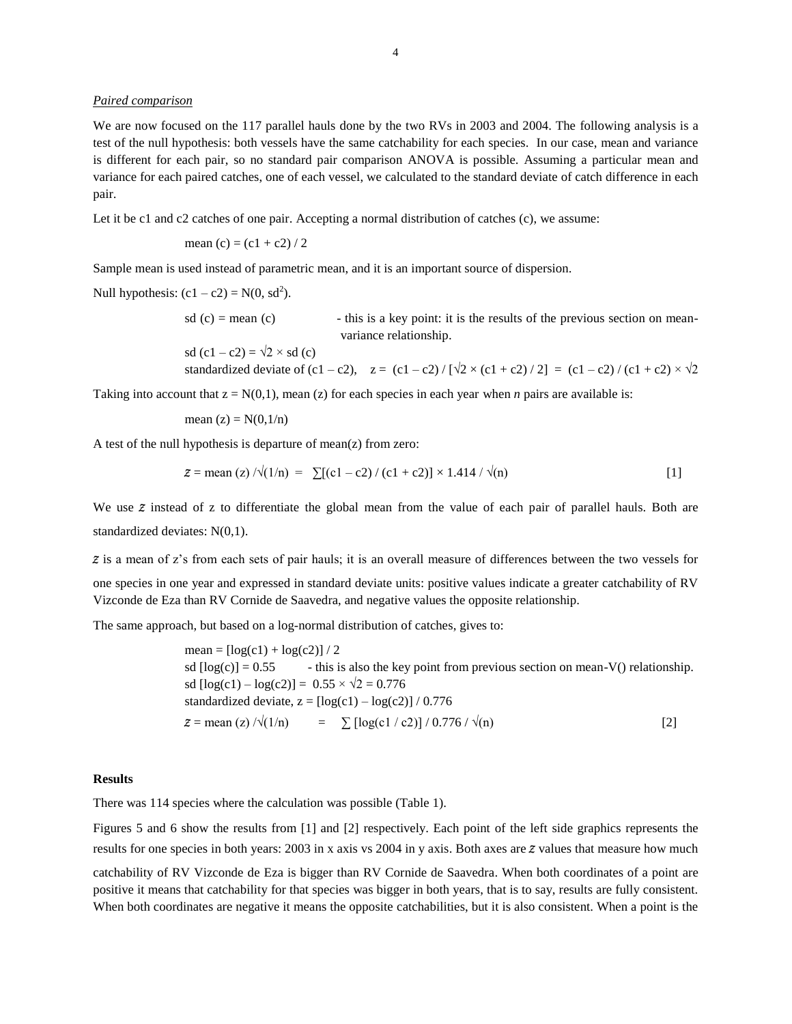## *Paired comparison*

We are now focused on the 117 parallel hauls done by the two RVs in 2003 and 2004. The following analysis is a test of the null hypothesis: both vessels have the same catchability for each species. In our case, mean and variance is different for each pair, so no standard pair comparison ANOVA is possible. Assuming a particular mean and variance for each paired catches, one of each vessel, we calculated to the standard deviate of catch difference in each pair.

Let it be c1 and c2 catches of one pair. Accepting a normal distribution of catches (c), we assume:

mean (c) = 
$$
(c1 + c2) / 2
$$

Sample mean is used instead of parametric mean, and it is an important source of dispersion.

Null hypothesis:  $(c1 - c2) = N(0, sd^2)$ .

sd  $(c)$  = mean (c) - this is a key point: it is the results of the previous section on meanvariance relationship.

sd  $(c1 - c2) = \sqrt{2} \times$  sd  $(c)$ standardized deviate of (c1 – c2),  $z = (c1 - c2) / [\sqrt{2} \times (c1 + c2) / 2] = (c1 - c2) / (c1 + c2) \times \sqrt{2}$ 

Taking into account that  $z = N(0,1)$ , mean (z) for each species in each year when *n* pairs are available is:

mean 
$$
(z) = N(0, 1/n)
$$

A test of the null hypothesis is departure of mean(z) from zero:

$$
z = \text{mean}(z) / \sqrt{(1/n)} = \sum [(c1 - c2) / (c1 + c2)] \times 1.414 / \sqrt{(n)} \tag{1}
$$

We use  $\tilde{z}$  instead of z to differentiate the global mean from the value of each pair of parallel hauls. Both are standardized deviates: N(0,1).

z is a mean of z's from each sets of pair hauls; it is an overall measure of differences between the two vessels for one species in one year and expressed in standard deviate units: positive values indicate a greater catchability of RV Vizconde de Eza than RV Cornide de Saavedra, and negative values the opposite relationship.

The same approach, but based on a log-normal distribution of catches, gives to:

 $mean = [log(c1) + log(c2)] / 2$ sd  $[log(c)] = 0.55$  - this is also the key point from previous section on mean-V() relationship. sd  $[\log(c1) - \log(c2)] = 0.55 \times \sqrt{2} = 0.776$ standardized deviate,  $z = \left[\log(c1) - \log(c2)\right] / 0.776$  $z = \text{mean}(z) / \sqrt{(1/n)} = \sum \left[ \log(c1 / c2) \right] / 0.776 / \sqrt{(n)}$  [2]

## **Results**

There was 114 species where the calculation was possible (Table 1).

Figures 5 and 6 show the results from [1] and [2] respectively. Each point of the left side graphics represents the results for one species in both years: 2003 in x axis vs 2004 in y axis. Both axes are z values that measure how much catchability of RV Vizconde de Eza is bigger than RV Cornide de Saavedra. When both coordinates of a point are positive it means that catchability for that species was bigger in both years, that is to say, results are fully consistent. When both coordinates are negative it means the opposite catchabilities, but it is also consistent. When a point is the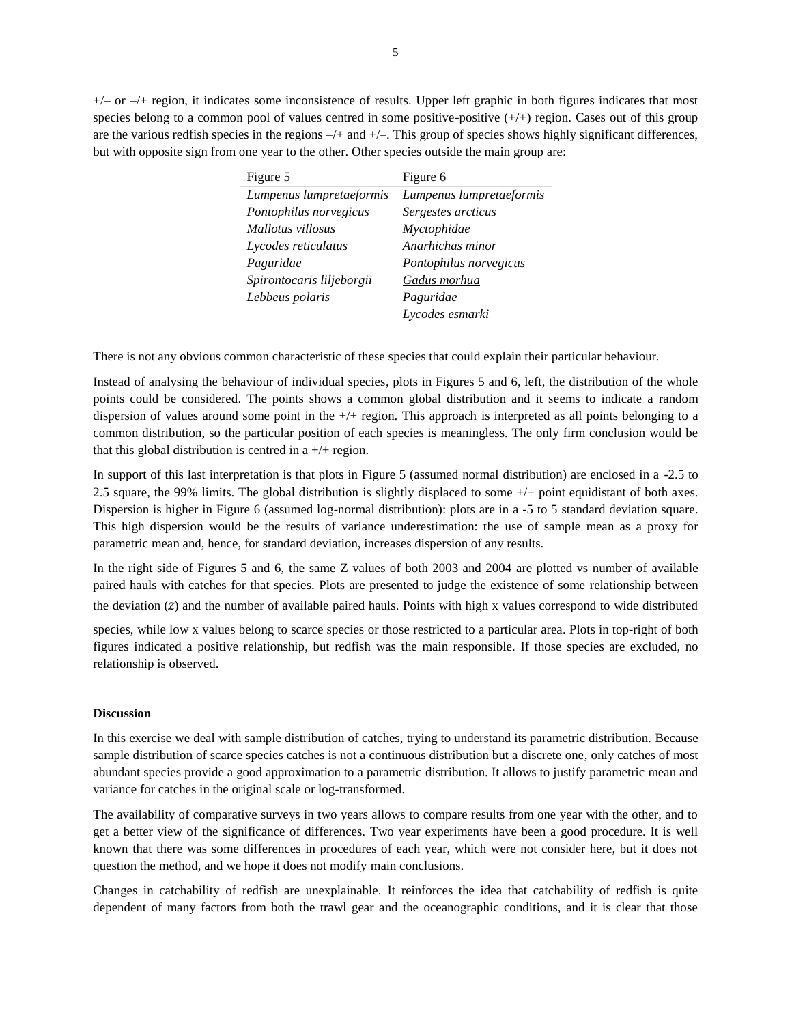$+/-$  or  $-/-$  region, it indicates some inconsistence of results. Upper left graphic in both figures indicates that most species belong to a common pool of values centred in some positive-positive  $(+/+)$  region. Cases out of this group are the various redfish species in the regions  $-\prime$ + and  $+\prime$ -. This group of species shows highly significant differences, but with opposite sign from one year to the other. Other species outside the main group are:

| Figure 5                  | Figure 6                 |
|---------------------------|--------------------------|
| Lumpenus lumpretaeformis  | Lumpenus lumpretaeformis |
| Pontophilus norvegicus    | Sergestes arcticus       |
| Mallotus villosus         | Myctophidae              |
| Lycodes reticulatus       | Anarhichas minor         |
| Paguridae                 | Pontophilus norvegicus   |
| Spirontocaris liljeborgii | Gadus morhua             |
| Lebbeus polaris           | Paguridae                |
|                           | Lycodes esmarki          |

There is not any obvious common characteristic of these species that could explain their particular behaviour.

Instead of analysing the behaviour of individual species, plots in Figures 5 and 6, left, the distribution of the whole points could be considered. The points shows a common global distribution and it seems to indicate a random dispersion of values around some point in the +/+ region. This approach is interpreted as all points belonging to a common distribution, so the particular position of each species is meaningless. The only firm conclusion would be that this global distribution is centred in  $a +/+$  region.

In support of this last interpretation is that plots in Figure 5 (assumed normal distribution) are enclosed in a -2.5 to 2.5 square, the 99% limits. The global distribution is slightly displaced to some  $+/+$  point equidistant of both axes. Dispersion is higher in Figure 6 (assumed log-normal distribution): plots are in a -5 to 5 standard deviation square. This high dispersion would be the results of variance underestimation: the use of sample mean as a proxy for parametric mean and, hence, for standard deviation, increases dispersion of any results.

In the right side of Figures 5 and 6, the same Z values of both 2003 and 2004 are plotted vs number of available paired hauls with catches for that species. Plots are presented to judge the existence of some relationship between the deviation (z) and the number of available paired hauls. Points with high x values correspond to wide distributed

species, while low x values belong to scarce species or those restricted to a particular area. Plots in top-right of both figures indicated a positive relationship, but redfish was the main responsible. If those species are excluded, no relationship is observed.

#### **Discussion**

In this exercise we deal with sample distribution of catches, trying to understand its parametric distribution. Because sample distribution of scarce species catches is not a continuous distribution but a discrete one, only catches of most abundant species provide a good approximation to a parametric distribution. It allows to justify parametric mean and variance for catches in the original scale or log-transformed.

The availability of comparative surveys in two years allows to compare results from one year with the other, and to get a better view of the significance of differences. Two year experiments have been a good procedure. It is well known that there was some differences in procedures of each year, which were not consider here, but it does not question the method, and we hope it does not modify main conclusions.

Changes in catchability of redfish are unexplainable. It reinforces the idea that catchability of redfish is quite dependent of many factors from both the trawl gear and the oceanographic conditions, and it is clear that those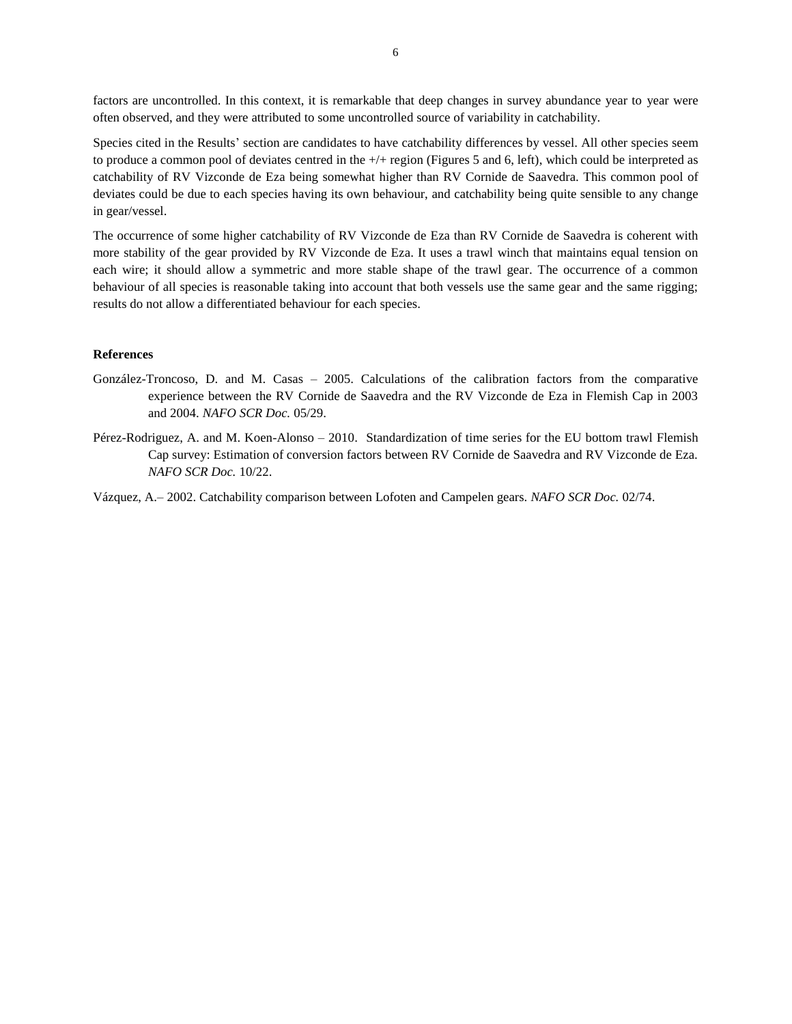factors are uncontrolled. In this context, it is remarkable that deep changes in survey abundance year to year were often observed, and they were attributed to some uncontrolled source of variability in catchability.

Species cited in the Results' section are candidates to have catchability differences by vessel. All other species seem to produce a common pool of deviates centred in the +/+ region (Figures 5 and 6, left), which could be interpreted as catchability of RV Vizconde de Eza being somewhat higher than RV Cornide de Saavedra. This common pool of deviates could be due to each species having its own behaviour, and catchability being quite sensible to any change in gear/vessel.

The occurrence of some higher catchability of RV Vizconde de Eza than RV Cornide de Saavedra is coherent with more stability of the gear provided by RV Vizconde de Eza. It uses a trawl winch that maintains equal tension on each wire; it should allow a symmetric and more stable shape of the trawl gear. The occurrence of a common behaviour of all species is reasonable taking into account that both vessels use the same gear and the same rigging; results do not allow a differentiated behaviour for each species.

## **References**

- González-Troncoso, D. and M. Casas 2005. Calculations of the calibration factors from the comparative experience between the RV Cornide de Saavedra and the RV Vizconde de Eza in Flemish Cap in 2003 and 2004. *NAFO SCR Doc.* 05/29.
- Pérez-Rodriguez, A. and M. Koen-Alonso 2010. Standardization of time series for the EU bottom trawl Flemish Cap survey: Estimation of conversion factors between RV Cornide de Saavedra and RV Vizconde de Eza. *NAFO SCR Doc.* 10/22.

Vázquez, A.– 2002. Catchability comparison between Lofoten and Campelen gears. *NAFO SCR Doc.* 02/74.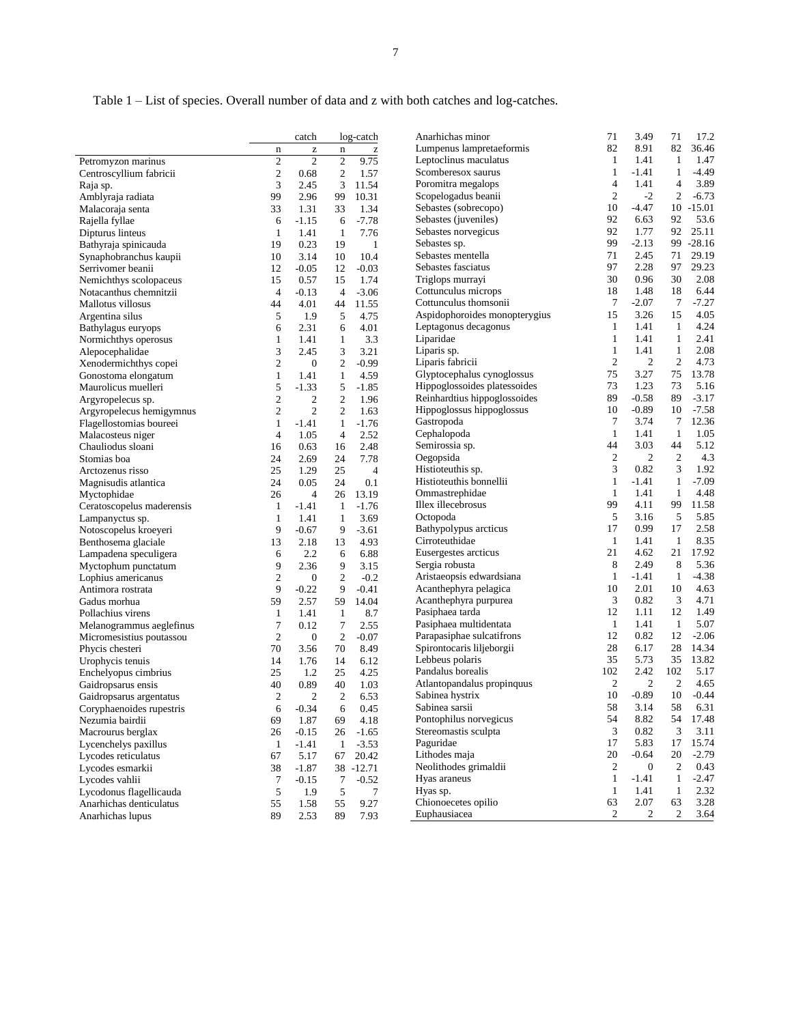Table 1 – List of species. Overall number of data and z with both catches and log-catches.

|                           |                  | catch                                                 |                | log-catch    | Anarhichas minor              | 71               | 3.49             | 71             | 17.2         |
|---------------------------|------------------|-------------------------------------------------------|----------------|--------------|-------------------------------|------------------|------------------|----------------|--------------|
|                           | n                | $\mathbf{Z}% ^{T}=\mathbf{Z}^{T}\times\mathbf{Z}^{T}$ | $\mathbf n$    | $\mathbf{Z}$ | Lumpenus lampretaeformis      | 82               | 8.91             | 82             | 36.46        |
| Petromyzon marinus        | $\overline{c}$   | $\overline{c}$                                        | $\mathfrak{2}$ | 9.75         | Leptoclinus maculatus         | 1                | 1.41             | $\mathbf{1}$   | 1.47         |
| Centroscyllium fabricii   | $\boldsymbol{2}$ | 0.68                                                  | $\mathbf{2}$   | 1.57         | Scomberesox saurus            | 1                | $-1.41$          | $\mathbf{1}$   | $-4.49$      |
| Raja sp.                  | 3                | 2.45                                                  | 3              | 11.54        | Poromitra megalops            | 4                | 1.41             | 4              | 3.89         |
| Amblyraja radiata         | 99               | 2.96                                                  | 99             | 10.31        | Scopelogadus beanii           | $\boldsymbol{2}$ | $-2$             | $\overline{c}$ | $-6.73$      |
| Malacoraja senta          | 33               | 1.31                                                  | 33             | 1.34         | Sebastes (sobrecopo)          | 10               | $-4.47$          |                | $10 - 15.01$ |
| Rajella fyllae            | 6                | $-1.15$                                               | 6              | $-7.78$      | Sebastes (juveniles)          | 92               | 6.63             | 92             | 53.6         |
| Dipturus linteus          | $\mathbf{1}$     | 1.41                                                  | $\mathbf{1}$   | 7.76         | Sebastes norvegicus           | 92               | 1.77             | 92             | 25.11        |
| Bathyraja spinicauda      | 19               | 0.23                                                  | 19             | 1            | Sebastes sp.                  | 99               | $-2.13$          | 99             | $-28.16$     |
| Synaphobranchus kaupii    | 10               | 3.14                                                  | 10             | 10.4         | Sebastes mentella             | 71               | 2.45             | 71             | 29.19        |
| Serrivomer beanii         | 12               | $-0.05$                                               | 12             | $-0.03$      | Sebastes fasciatus            | 97               | 2.28             | 97             | 29.23        |
| Nemichthys scolopaceus    | 15               | 0.57                                                  | 15             | 1.74         | Triglops murrayi              | 30               | 0.96             | 30             | 2.08         |
| Notacanthus chemnitzii    | 4                | $-0.13$                                               | 4              | $-3.06$      | Cottunculus microps           | 18               | 1.48             | 18             | 6.44         |
| Mallotus villosus         | 44               | 4.01                                                  | 44             | 11.55        | Cottunculus thomsonii         | 7                | $-2.07$          | 7              | $-7.27$      |
| Argentina silus           | 5                | 1.9                                                   | 5              | 4.75         | Aspidophoroides monopterygius | 15               | 3.26             | 15             | 4.05         |
| Bathylagus euryops        | 6                | 2.31                                                  | 6              | 4.01         | Leptagonus decagonus          | $\mathbf{1}$     | 1.41             | $\mathbf{1}$   | 4.24         |
| Normichthys operosus      | $\mathbf{1}$     | 1.41                                                  | $\mathbf{1}$   | 3.3          | Liparidae                     | $\mathbf{1}$     | 1.41             | $\mathbf{1}$   | 2.41         |
| Alepocephalidae           | 3                | 2.45                                                  | 3              | 3.21         | Liparis sp.                   | $\mathbf{1}$     | 1.41             | $\mathbf{1}$   | 2.08         |
| Xenodermichthys copei     | $\mathfrak{2}$   | $\mathbf{0}$                                          | $\overline{2}$ | $-0.99$      | Liparis fabricii              | $\mathfrak{2}$   | $\mathfrak{2}$   | $\overline{c}$ | 4.73         |
| Gonostoma elongatum       | $\mathbf{1}$     | 1.41                                                  | $\mathbf{1}$   | 4.59         | Glyptocephalus cynoglossus    | 75               | 3.27             | 75             | 13.78        |
| Maurolicus muelleri       | 5                | $-1.33$                                               | 5              | $-1.85$      | Hippoglossoides platessoides  | 73               | 1.23             | 73             | 5.16         |
| Argyropelecus sp.         | $\mathfrak{2}$   | $\boldsymbol{2}$                                      | $\mathbf{2}$   | 1.96         | Reinhardtius hippoglossoides  | 89               | $-0.58$          | 89             | $-3.17$      |
| Argyropelecus hemigymnus  | $\mathfrak{2}$   | $\overline{c}$                                        | $\mathfrak{2}$ | 1.63         | Hippoglossus hippoglossus     | 10               | $-0.89$          | 10             | $-7.58$      |
| Flagellostomias boureei   | $\mathbf{1}$     | $-1.41$                                               | $\mathbf{1}$   | $-1.76$      | Gastropoda                    | 7                | 3.74             | 7              | 12.36        |
| Malacosteus niger         | $\overline{4}$   | 1.05                                                  | 4              | 2.52         | Cephalopoda                   | 1                | 1.41             | $\mathbf{1}$   | 1.05         |
| Chauliodus sloani         | 16               | 0.63                                                  | 16             | 2.48         | Semirossia sp.                | 44               | 3.03             | 44             | 5.12         |
| Stomias boa               | 24               | 2.69                                                  | 24             | 7.78         | Oegopsida                     | $\boldsymbol{2}$ | $\boldsymbol{2}$ | $\overline{c}$ | 4.3          |
| Arctozenus risso          | 25               | 1.29                                                  | 25             | 4            | Histioteuthis sp.             | 3                | 0.82             | 3              | 1.92         |
| Magnisudis atlantica      | 24               | 0.05                                                  | 24             | 0.1          | Histioteuthis bonnellii       | 1                | $-1.41$          | $\mathbf{1}$   | $-7.09$      |
| Myctophidae               | 26               | $\overline{4}$                                        | 26             | 13.19        | Ommastrephidae                | $\mathbf{1}$     | 1.41             | $\mathbf{1}$   | 4.48         |
| Ceratoscopelus maderensis | $\mathbf{1}$     | $-1.41$                                               | $\mathbf{1}$   | $-1.76$      | Illex illecebrosus            | 99               | 4.11             | 99             | 11.58        |
| Lampanyctus sp.           | $\mathbf{1}$     | 1.41                                                  | $\mathbf{1}$   | 3.69         | Octopoda                      | 5                | 3.16             | 5              | 5.85         |
| Notoscopelus kroeyeri     | 9                | $-0.67$                                               | 9              | $-3.61$      | Bathypolypus arcticus         | 17               | 0.99             | 17             | 2.58         |
| Benthosema glaciale       | 13               | 2.18                                                  | 13             | 4.93         | Cirroteuthidae                | 1                | 1.41             | 1              | 8.35         |
| Lampadena speculigera     | 6                | 2.2                                                   | 6              | 6.88         | Eusergestes arcticus          | 21               | 4.62             | 21             | 17.92        |
| Myctophum punctatum       | 9                | 2.36                                                  | 9              | 3.15         | Sergia robusta                | 8                | 2.49             | 8              | 5.36         |
| Lophius americanus        | $\mathfrak{2}$   | $\boldsymbol{0}$                                      | $\overline{c}$ | $-0.2$       | Aristaeopsis edwardsiana      | $\mathbf{1}$     | $-1.41$          | $\mathbf{1}$   | $-4.38$      |
| Antimora rostrata         | 9                | $-0.22$                                               | 9              | $-0.41$      | Acanthephyra pelagica         | 10               | 2.01             | 10             | 4.63         |
| Gadus morhua              | 59               | 2.57                                                  | 59             | 14.04        | Acanthephyra purpurea         | 3                | 0.82             | 3              | 4.71         |
| Pollachius virens         | $\mathbf{1}$     | 1.41                                                  | $\mathbf{1}$   | 8.7          | Pasiphaea tarda               | 12               | 1.11             | 12             | 1.49         |
| Melanogrammus aeglefinus  | $\tau$           | 0.12                                                  | 7              | 2.55         | Pasiphaea multidentata        | $\mathbf{1}$     | 1.41             | $\mathbf{1}$   | 5.07         |
| Micromesistius poutassou  | $\mathfrak{2}$   | $\boldsymbol{0}$                                      | $\overline{2}$ | $-0.07$      | Parapasiphae sulcatifrons     | 12               | 0.82             | 12             | $-2.06$      |
| Phycis chesteri           | 70               | 3.56                                                  | 70             | 8.49         | Spirontocaris liljeborgii     | 28               | 6.17             | 28             | 14.34        |
| Urophycis tenuis          | 14               | 1.76                                                  | 14             | 6.12         | Lebbeus polaris               | 35               | 5.73             | 35             | 13.82        |
| Enchelyopus cimbrius      | 25               | 1.2                                                   | 25             | 4.25         | Pandalus borealis             | 102              | 2.42             | 102            | 5.17         |
| Gaidropsarus ensis        | 40               | 0.89                                                  | 40             | 1.03         | Atlantopandalus propinquus    | $\mathfrak{2}$   | $\overline{c}$   | $\overline{2}$ | 4.65         |
| Gaidropsarus argentatus   | $\boldsymbol{2}$ | $\mathfrak{2}$                                        | $\overline{c}$ | 6.53         | Sabinea hystrix               | 10               | $-0.89$          | 10             | $-0.44$      |
| Coryphaenoides rupestris  | 6                | $-0.34$                                               | 6              | 0.45         | Sabinea sarsii                | 58               | 3.14             | 58             | 6.31         |
| Nezumia bairdii           | 69               | 1.87                                                  | 69             | 4.18         | Pontophilus norvegicus        | 54               | 8.82             | 54             | 17.48        |
| Macrourus berglax         | 26               | $-0.15$                                               | 26             | $-1.65$      | Stereomastis sculpta          | 3                | 0.82             | 3              | 3.11         |
| Lycenchelys paxillus      | 1                | $-1.41$                                               | 1              | $-3.53$      | Paguridae                     | 17               | 5.83             | 17             | 15.74        |
| Lycodes reticulatus       | 67               | 5.17                                                  | 67             | 20.42        | Lithodes maja                 | 20               | $-0.64$          | 20             | $-2.79$      |
| Lycodes esmarkii          | 38               | $-1.87$                                               |                | 38 -12.71    | Neolithodes grimaldii         | 2                | $\boldsymbol{0}$ | 2              | 0.43         |
| Lycodes vahlii            | 7                | -0.15                                                 | 7              | $-0.52$      | Hyas araneus                  | 1                | $-1.41$          | $\mathbf{1}$   | $-2.47$      |
| Lycodonus flagellicauda   | 5                | 1.9                                                   | 5              | 7            | Hyas sp.                      | $\mathbf{1}$     | 1.41             | $\mathbf{1}$   | 2.32         |
| Anarhichas denticulatus   |                  | 1.58                                                  | 55             | 9.27         | Chionoecetes opilio           | 63               | 2.07             | 63             | 3.28         |
| Anarhichas lupus          | 55<br>89         | 2.53                                                  | 89             | 7.93         | Euphausiacea                  | 2                | 2                | 2              | 3.64         |
|                           |                  |                                                       |                |              |                               |                  |                  |                |              |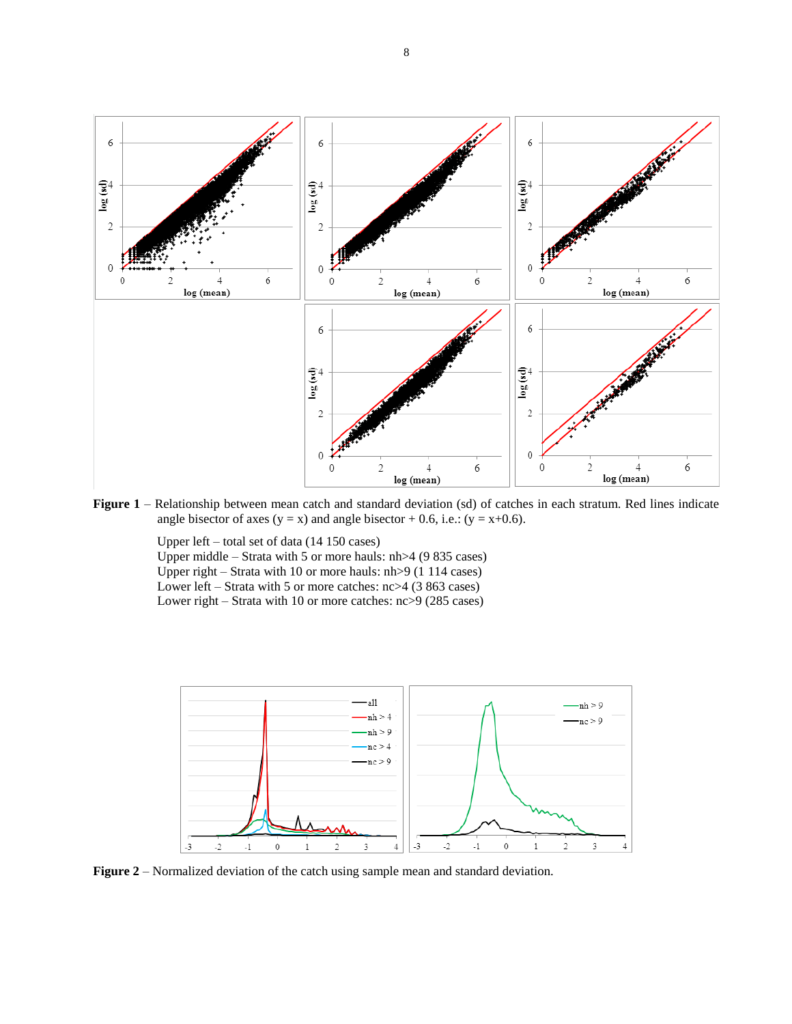

**Figure 1** – Relationship between mean catch and standard deviation (sd) of catches in each stratum. Red lines indicate angle bisector of axes  $(y = x)$  and angle bisector + 0.6, i.e.:  $(y = x+0.6)$ .

Upper left – total set of data (14 150 cases) Upper middle – Strata with 5 or more hauls: nh>4 (9 835 cases) Upper right – Strata with 10 or more hauls: nh>9 (1 114 cases) Lower left – Strata with 5 or more catches: nc>4 (3 863 cases) Lower right – Strata with 10 or more catches: nc>9 (285 cases)



**Figure 2** – Normalized deviation of the catch using sample mean and standard deviation.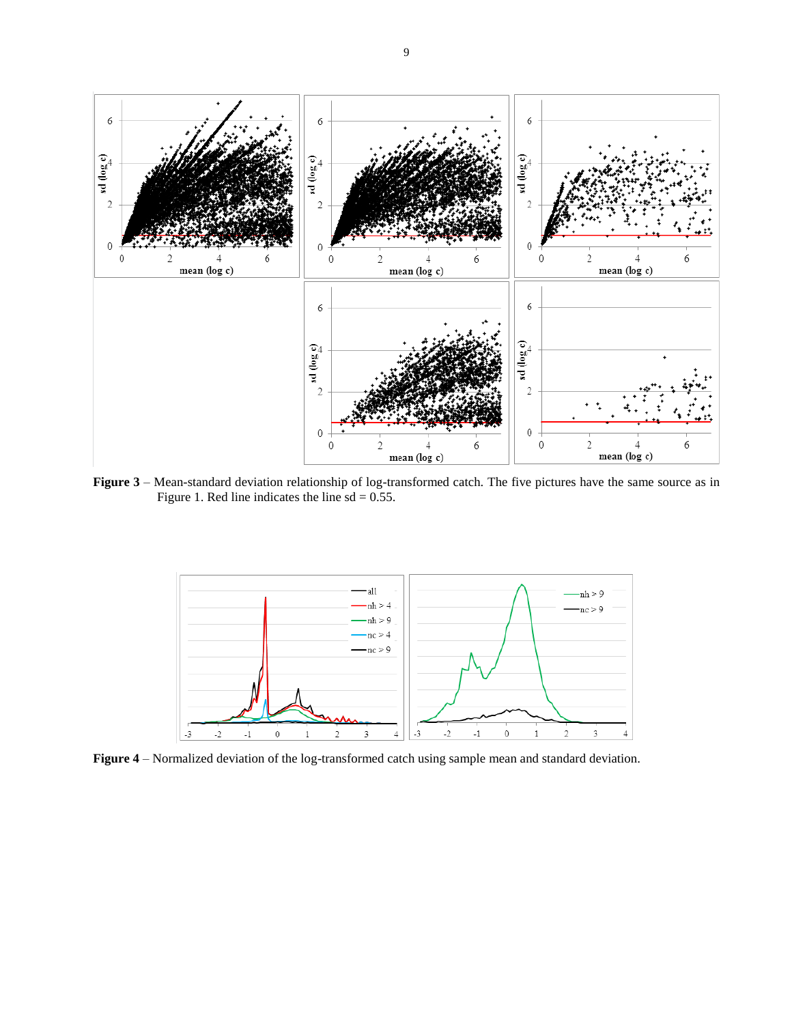

**Figure 3** – Mean-standard deviation relationship of log-transformed catch. The five pictures have the same source as in Figure 1. Red line indicates the line  $sd = 0.55$ .



**Figure 4** – Normalized deviation of the log-transformed catch using sample mean and standard deviation.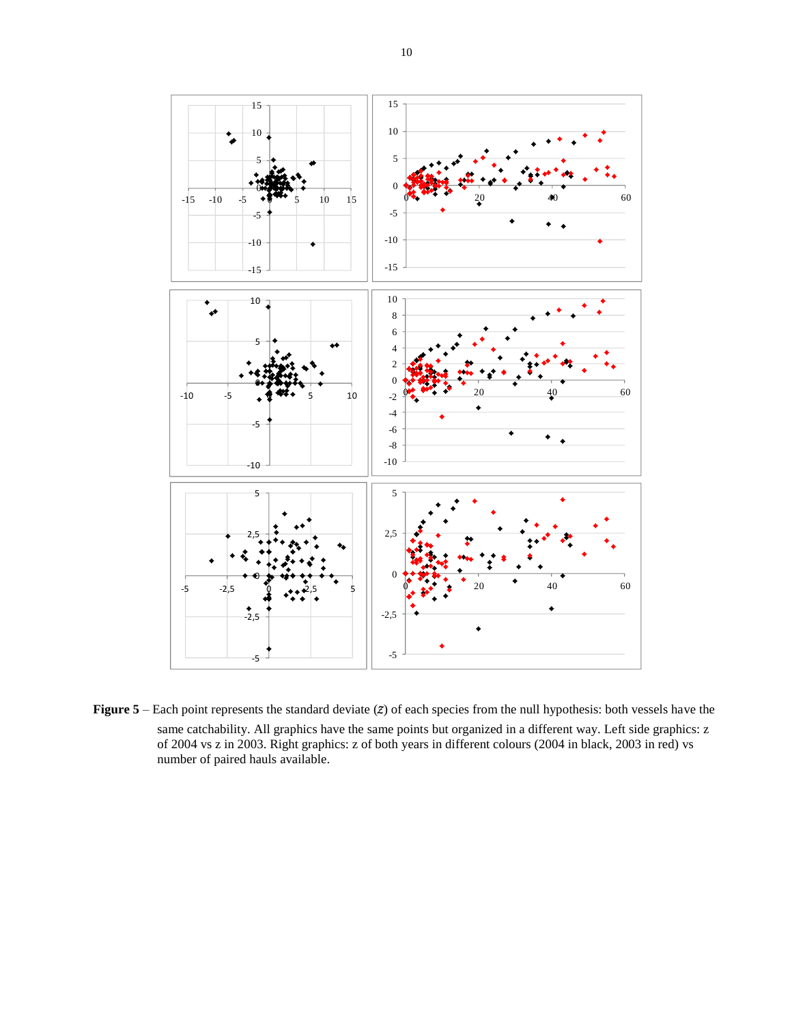

**Figure 5** – Each point represents the standard deviate (z) of each species from the null hypothesis: both vessels have the same catchability. All graphics have the same points but organized in a different way. Left side graphics: z of 2004 vs z in 2003. Right graphics: z of both years in different colours (2004 in black, 2003 in red) vs number of paired hauls available.